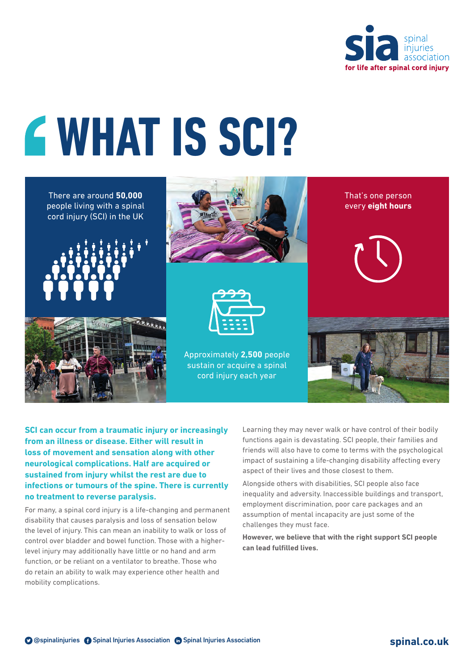

# **WHAT IS SCI?**

There are around **50,000** people living with a spinal cord injury (SCI) in the UK









Approximately **2,500** people sustain or acquire a spinal cord injury each year

That's one person every **eight hours**



**SCI can occur from a traumatic injury or increasingly from an illness or disease. Either will result in loss of movement and sensation along with other neurological complications. Half are acquired or sustained from injury whilst the rest are due to infections or tumours of the spine. There is currently no treatment to reverse paralysis.**

For many, a spinal cord injury is a life-changing and permanent disability that causes paralysis and loss of sensation below the level of injury. This can mean an inability to walk or loss of control over bladder and bowel function. Those with a higherlevel injury may additionally have little or no hand and arm function, or be reliant on a ventilator to breathe. Those who do retain an ability to walk may experience other health and mobility complications.

Learning they may never walk or have control of their bodily functions again is devastating. SCI people, their families and friends will also have to come to terms with the psychological impact of sustaining a life-changing disability affecting every aspect of their lives and those closest to them.

Alongside others with disabilities, SCI people also face inequality and adversity. Inaccessible buildings and transport, employment discrimination, poor care packages and an assumption of mental incapacity are just some of the challenges they must face.

**However, we believe that with the right support SCI people can lead fulfilled lives.**